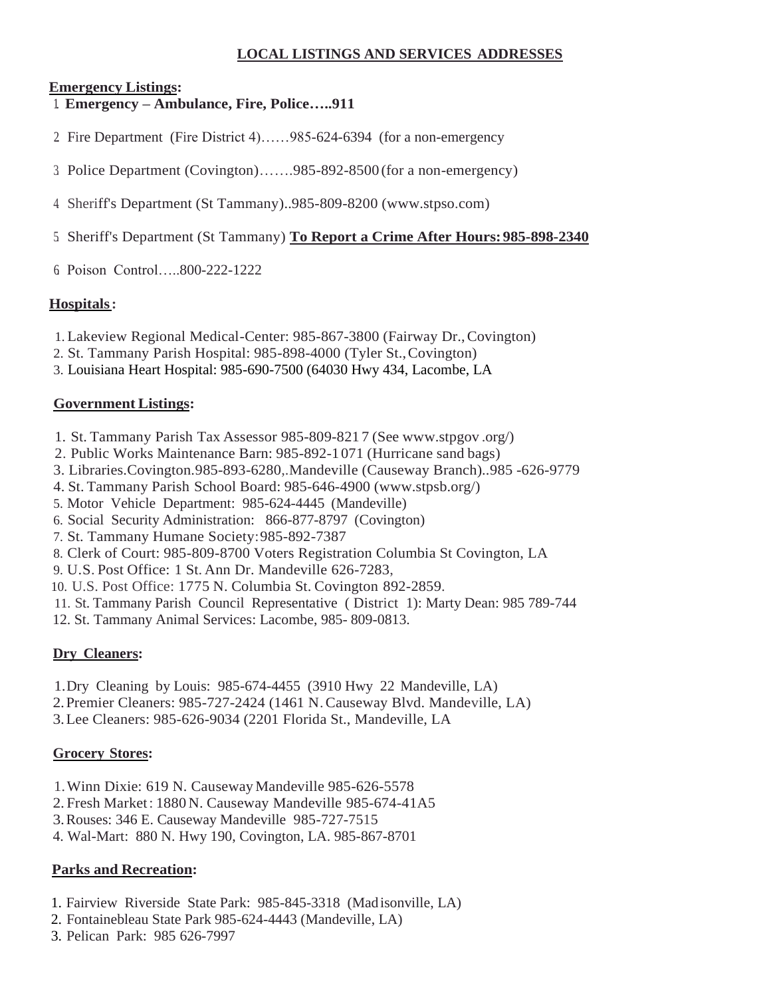### **LOCAL LISTINGS AND SERVICES ADDRESSES**

### **Emergency Listings:**

- 1. **Emergency – Ambulance, Fire, Police…..911**
- 2. Fire Department (Fire District 4)……985-624-6394 (for a non-emergency
- 3. Police Department (Covington)…….985-892-8500 (for a non-emergency)
- 4. Sheriff's Department (St Tammany)..985-809-8200 (www.stpso.com)
- 5. Sheriff's Department (St Tammany) **To Report a Crime After Hours: 985-898-2340**
- 6. Poison Control…..800-222-1222

### **Hospitals:**

- 1. Lakeview Regional Medical-Center: 985-867-3800 (Fairway Dr.,Covington)
- 2. St. Tammany Parish Hospital: 985-898-4000 (Tyler St.,Covington)
- 3. Louisiana Heart Hospital: 985-690-7500 (64030 Hwy 434, Lacombe, LA

#### **Government Listings:**

- 1. St. Tammany Parish Tax Assessor 985-809-821 7 (See www.stpgov .org/)
- 2. Public Works Maintenance Barn: 985-892-1071 (Hurricane sand bags)
- 3. Libraries.Covington.985-893-6280,.Mandeville (Causeway Branch)..985 -626-9779
- 4. St. Tammany Parish School Board: 985-646-4900 [\(www.stpsb.org/\)](http://www.stpsb.org/))
- 5. Motor Vehicle Department: 985-624-4445 (Mandeville)
- 6. Social Security Administration: 866-877-8797 (Covington)
- 7. St. Tammany Humane Society:985-892-7387
- 8. Clerk of Court: 985-809-8700 Voters Registration Columbia St Covington, LA
- 9. U.S. Post Office: 1 St. Ann Dr. Mandeville 626-7283,
- 10. U.S. Post Office: 1775 N. Columbia St. Covington 892-2859.
- 11. St. Tammany Parish Council Representative ( District 1): Marty Dean: 985 789-744
- 12. St. Tammany Animal Services: Lacombe, 985- 809-0813.

### **Dry Cleaners:**

- 1.Dry Cleaning by Louis: 985-674-4455 (3910 Hwy 22 Mandeville, LA)
- 2.Premier Cleaners: 985-727-2424 (1461 N.Causeway Blvd. Mandeville, LA)
- 3.Lee Cleaners: 985-626-9034 (2201 Florida St., Mandeville, LA

### **Grocery Stores:**

- 1.Winn Dixie: 619 N. Causeway Mandeville 985-626-5578
- 2. Fresh Market: 1880 N. Causeway Mandeville 985-674-41A5
- 3.Rouses: 346 E. Causeway Mandeville 985-727-7515
- 4. Wal-Mart: 880 N. Hwy 190, Covington, LA. 985-867-8701

### **Parks and Recreation:**

- 1. Fairview Riverside State Park: 985-845-3318 (Madisonville, LA)
- 2. Fontainebleau State Park 985-624-4443 (Mandeville, LA)
- 3. Pelican Park: 985 626-7997